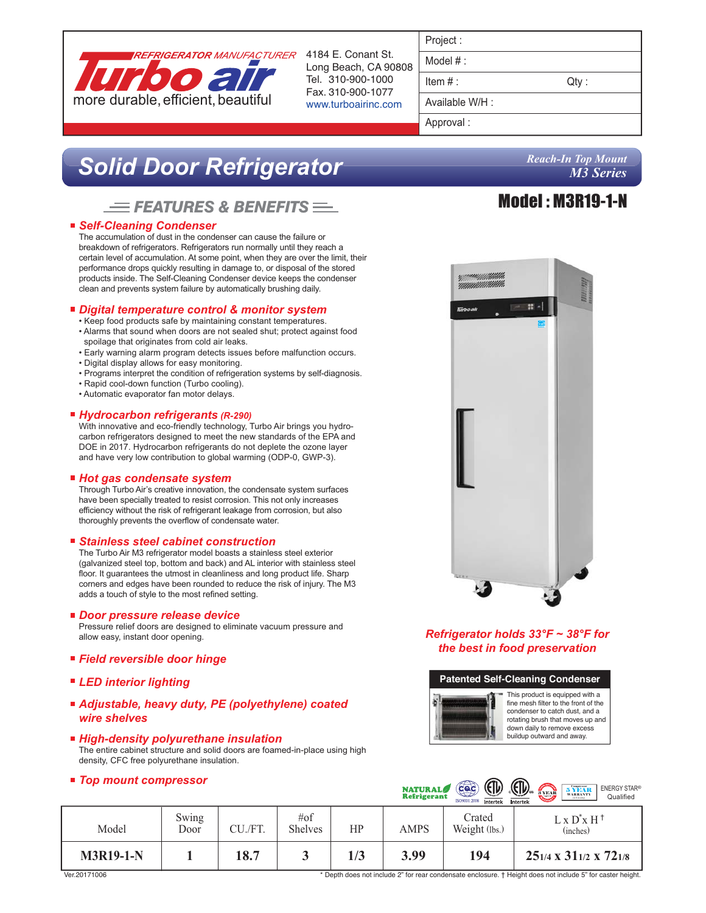

Long Beach, CA 90808 Tel. 310-900-1000 Fax. 310-900-1077 www.turboairinc.com

| Project |  |
|---------|--|

Model # :

 $Item #:$  Qty :

Available W/H :

Approval :

# *Solid Door Refrigerator*

## $F = FEATURES$  & BENEFITS $F =$

#### ■ Self-Cleaning Condenser

The accumulation of dust in the condenser can cause the failure or breakdown of refrigerators. Refrigerators run normally until they reach a certain level of accumulation. At some point, when they are over the limit, their performance drops quickly resulting in damage to, or disposal of the stored products inside. The Self-Cleaning Condenser device keeps the condenser clean and prevents system failure by automatically brushing daily.

#### *Digital temperature control & monitor system*

- Keep food products safe by maintaining constant temperatures. • Alarms that sound when doors are not sealed shut; protect against food spoilage that originates from cold air leaks.
- Early warning alarm program detects issues before malfunction occurs.
- Digital display allows for easy monitoring.
- Programs interpret the condition of refrigeration systems by self-diagnosis.
- Rapid cool-down function (Turbo cooling).
- Automatic evaporator fan motor delays.

#### *Hydrocarbon refrigerants (R-290)*

With innovative and eco-friendly technology, Turbo Air brings you hydrocarbon refrigerators designed to meet the new standards of the EPA and DOE in 2017. Hydrocarbon refrigerants do not deplete the ozone layer and have very low contribution to global warming (ODP-0, GWP-3).

#### ■ Hot gas condensate system

Through Turbo Air's creative innovation, the condensate system surfaces have been specially treated to resist corrosion. This not only increases efficiency without the risk of refrigerant leakage from corrosion, but also thoroughly prevents the overflow of condensate water.

#### *Stainless steel cabinet construction*

The Turbo Air M3 refrigerator model boasts a stainless steel exterior (galvanized steel top, bottom and back) and AL interior with stainless steel floor. It guarantees the utmost in cleanliness and long product life. Sharp corners and edges have been rounded to reduce the risk of injury. The M3 adds a touch of style to the most refined setting.

#### *Door pressure release device*

Pressure relief doors are designed to eliminate vacuum pressure and allow easy, instant door opening.

#### *Field reversible door hinge*

- *LED interior lighting*
- *Adjustable, heavy duty, PE (polyethylene) coated wire shelves*
- *High-density polyurethane insulation* The entire cabinet structure and solid doors are foamed-in-place using high density, CFC free polyurethane insulation.

#### *Top mount compressor*



#### *Refrigerator holds 33°F ~ 38°F for the best in food preservation*



 $\sim$ 

|                  |               |         |                           |     | <b>NATURAL</b><br><b>Refrigerant</b> | cac<br>$\mathcal{L}$<br>ISO9001:2008<br>Intertek | $\mathbb{C}$<br>$\sum_{3 \text{ VEM}}$<br>5 YEAR<br><b>ENERGY STAR®</b><br>Qualified<br><b>CALIFORNIA</b><br><b>U.S.A only</b><br>Intertek |
|------------------|---------------|---------|---------------------------|-----|--------------------------------------|--------------------------------------------------|--------------------------------------------------------------------------------------------------------------------------------------------|
| Model            | Swing<br>Door | CU./FT. | $\#$ of<br><b>Shelves</b> | HP  | AMPS                                 | Crated<br>Weight (lbs.)                          | $L \times D^* \times H^+$<br>(inches)                                                                                                      |
| <b>M3R19-1-N</b> |               | 18.7    |                           | 1/3 | 3.99                                 | 194                                              | $25_{1/4}$ x $31_{1/2}$ x $72_{1/8}$                                                                                                       |

### *Reach-In Top Mount M3 Series*

# Model : M3R19-1-N

Ver.20171006

\* Depth does not include 2" for rear condensate enclosure. † Height does not include 5" for caster height.

 $\sim$